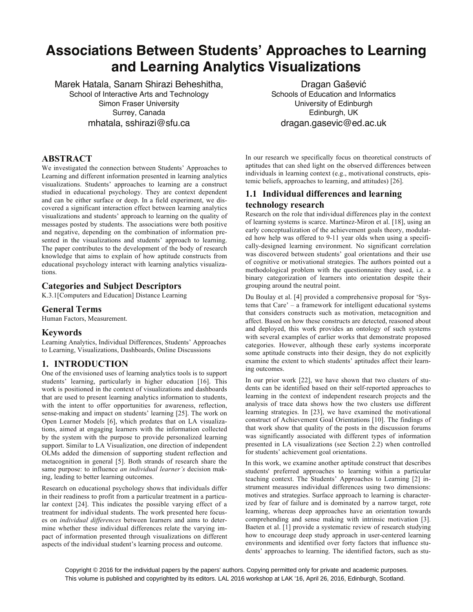# **Associations Between Students' Approaches to Learning and Learning Analytics Visualizations**

Marek Hatala, Sanam Shirazi Beheshitha, School of Interactive Arts and Technology Simon Fraser University Surrey, Canada mhatala, sshirazi@sfu.ca

# **ABSTRACT**

We investigated the connection between Students' Approaches to Learning and different information presented in learning analytics visualizations. Students' approaches to learning are a construct studied in educational psychology. They are context dependent and can be either surface or deep. In a field experiment, we discovered a significant interaction effect between learning analytics visualizations and students' approach to learning on the quality of messages posted by students. The associations were both positive and negative, depending on the combination of information presented in the visualizations and students' approach to learning. The paper contributes to the development of the body of research knowledge that aims to explain of how aptitude constructs from educational psychology interact with learning analytics visualizations.

# **Categories and Subject Descriptors**

K.3.1[Computers and Education] Distance Learning

# **General Terms**

Human Factors, Measurement.

## **Keywords**

Learning Analytics, Individual Differences, Students' Approaches to Learning, Visualizations, Dashboards, Online Discussions

# **1. INTRODUCTION**

One of the envisioned uses of learning analytics tools is to support students' learning, particularly in higher education [16]. This work is positioned in the context of visualizations and dashboards that are used to present learning analytics information to students, with the intent to offer opportunities for awareness, reflection, sense-making and impact on students' learning [25]. The work on Open Learner Models [6], which predates that on LA visualizations, aimed at engaging learners with the information collected by the system with the purpose to provide personalized learning support. Similar to LA Visualization, one direction of independent OLMs added the dimension of supporting student reflection and metacognition in general [5]. Both strands of research share the same purpose: to influence *an individual learner's* decision making, leading to better learning outcomes.

Research on educational psychology shows that individuals differ in their readiness to profit from a particular treatment in a particular context [24]. This indicates the possible varying effect of a treatment for individual students. The work presented here focuses on *individual differences* between learners and aims to determine whether these individual differences relate the varying impact of information presented through visualizations on different aspects of the individual student's learning process and outcome.

Dragan Gašević Schools of Education and Informatics University of Edinburgh Edinburgh, UK dragan.gasevic@ed.ac.uk

In our research we specifically focus on theoretical constructs of aptitudes that can shed light on the observed differences between individuals in learning context (e.g., motivational constructs, epistemic beliefs, approaches to learning, and attitudes) [26].

# **1.1 Individual differences and learning technology research**

Research on the role that individual differences play in the context of learning systems is scarce. Martinez-Miron et al. [18], using an early conceptualization of the achievement goals theory, modulated how help was offered to 9-11 year olds when using a specifically-designed learning environment. No significant correlation was discovered between students' goal orientations and their use of cognitive or motivational strategies. The authors pointed out a methodological problem with the questionnaire they used, i.e. a binary categorization of learners into orientation despite their grouping around the neutral point.

Du Boulay et al. [4] provided a comprehensive proposal for 'Systems that Care' – a framework for intelligent educational systems that considers constructs such as motivation, metacognition and affect. Based on how these constructs are detected, reasoned about and deployed, this work provides an ontology of such systems with several examples of earlier works that demonstrate proposed categories. However, although these early systems incorporate some aptitude constructs into their design, they do not explicitly examine the extent to which students' aptitudes affect their learning outcomes.

In our prior work [22], we have shown that two clusters of students can be identified based on their self-reported approaches to learning in the context of independent research projects and the analysis of trace data shows how the two clusters use different learning strategies. In [23], we have examined the motivational construct of Achievement Goal Orientations [10]. The findings of that work show that quality of the posts in the discussion forums was significantly associated with different types of information presented in LA visualizations (see Section 2.2) when controlled for students' achievement goal orientations.

In this work, we examine another aptitude construct that describes students' preferred approaches to learning within a particular teaching context. The Students' Approaches to Learning [2] instrument measures individual differences using two dimensions: motives and strategies. Surface approach to learning is characterized by fear of failure and is dominated by a narrow target, rote learning, whereas deep approaches have an orientation towards comprehending and sense making with intrinsic motivation [3]. Baeten et al. [1] provide a systematic review of research studying how to encourage deep study approach in user-centered learning environments and identified over forty factors that influence students' approaches to learning. The identified factors, such as stu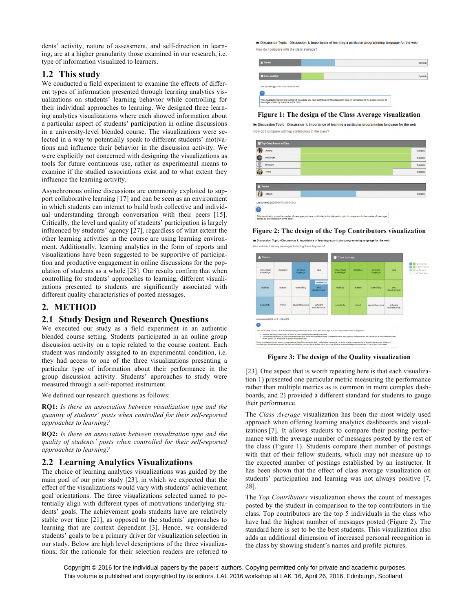dents' activity, nature of assessment, and self-direction in learning, are at a higher granularity those examined in our research, i.e. type of information visualized to learners.

## **1.2 This study**

We conducted a field experiment to examine the effects of different types of information presented through learning analytics visualizations on students' learning behavior while controlling for their individual approaches to learning. We designed three learning analytics visualizations where each showed information about a particular aspect of students' participation in online discussions in a university-level blended course. The visualizations were selected in a way to potentially speak to different students' motivations and influence their behavior in the discussion activity. We were explicitly not concerned with designing the visualizations as tools for future continuous use, rather as experimental means to examine if the studied associations exist and to what extent they influence the learning activity.

Asynchronous online discussions are commonly exploited to support collaborative learning [17] and can be seen as an environment in which students can interact to build both collective and individual understanding through conversation with their peers [15]. Critically, the level and quality of students' participation is largely influenced by students' agency [27], regardless of what extent the other learning activities in the course are using learning environment. Additionally, learning analytics in the form of reports and visualizations have been suggested to be supportive of participation and productive engagement in online discussions for the population of students as a whole [28]. Our results confirm that when controlling for students' approaches to learning, different visualizations presented to students are significantly associated with different quality characteristics of posted messages.

# **2. METHOD**

# **2.1 Study Design and Research Questions**

We executed our study as a field experiment in an authentic blended course setting. Students participated in an online group discussion activity on a topic related to the course content. Each student was randomly assigned to an experimental condition, i.e. they had access to one of the three visualizations presenting a particular type of information about their performance in the group discussion activity. Students' approaches to study were measured through a self-reported instrument.

We defined our research questions as follows:

**RQ1:** *Is there an association between visualization type and the quantity of students' posts when controlled for their self-reported approaches to learning?*

**RQ2:** *Is there an association between visualization type and the quality of students' posts when controlled for their self-reported approaches to learning?*

# **2.2 Learning Analytics Visualizations**

The choice of learning analytics visualizations was guided by the main goal of our prior study [23], in which we expected that the effect of the visualizations would vary with students' achievement goal orientations. The three visualizations selected aimed to potentially align with different types of motivations underlying students' goals. The achievement goals students have are relatively stable over time [21], as opposed to the students' approaches to learning that are context dependent [3]. Hence, we considered students' goals to be a primary driver for visualization selection in our study. Below are high level descriptions of the three visualizations; for the rationale for their selection readers are referred to

Discussion Topic - Discussion 1: Importance of learning a particular programming language for the web How do I compare with the class average?



#### **Figure 1: The design of the Class Average visualization**

Discussion Topic - Discussion 1: Importance of learning a particular programming language for the web How do I compare with top contributors in the class?



#### **Figure 2: The design of the Top Contributors visualization**

Discussion Topic - Discussion 1: Importance of learning a particular programming language for the web How coherent are my messages including these keywords?



**Figure 3: The design of the Quality visualization**

[23]. One aspect that is worth repeating here is that each visualization 1) presented one particular metric measuring the performance rather than multiple metrics as is common in more complex dashboards, and 2) provided a different standard for students to gauge their performance.

The *Class Average* visualization has been the most widely used approach when offering learning analytics dashboards and visualizations [7]. It allows students to compare their posting performance with the average number of messages posted by the rest of the class (Figure 1). Students compare their number of postings with that of their fellow students, which may not measure up to the expected number of postings established by an instructor. It has been shown that the effect of class average visualization on students' participation and learning was not always positive [7, 28].

The *Top Contributors* visualization shows the count of messages posted by the student in comparison to the top contributors in the class. Top contributors are the top 5 individuals in the class who have had the highest number of messages posted (Figure 2). The standard here is set to be the best students. This visualization also adds an additional dimension of increased personal recognition in the class by showing student's names and profile pictures.

Copyright © 2016 for the individual papers by the papers' authors. Copying permitted only for private and academic purposes. This volume is published and copyrighted by its editors. LAL 2016 workshop at LAK '16, April 26, 2016, Edinburgh, Scotland.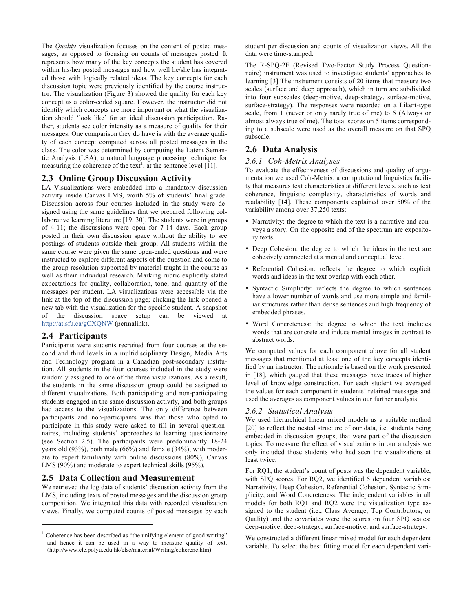The *Quality* visualization focuses on the content of posted messages, as opposed to focusing on counts of messages posted. It represents how many of the key concepts the student has covered within his/her posted messages and how well he/she has integrated those with logically related ideas. The key concepts for each discussion topic were previously identified by the course instructor. The visualization (Figure 3) showed the quality for each key concept as a color-coded square. However, the instructor did not identify which concepts are more important or what the visualization should 'look like' for an ideal discussion participation. Rather, students see color intensity as a measure of quality for their messages. One comparison they do have is with the average quality of each concept computed across all posted messages in the class. The color was determined by computing the Latent Semantic Analysis (LSA), a natural language processing technique for measuring the coherence of the text<sup>1</sup>, at the sentence level [11].

# **2.3 Online Group Discussion Activity**

LA Visualizations were embedded into a mandatory discussion activity inside Canvas LMS, worth 5% of students' final grade. Discussion across four courses included in the study were designed using the same guidelines that we prepared following collaborative learning literature [19, 30]. The students were in groups of 4-11; the discussions were open for 7-14 days. Each group posted in their own discussion space without the ability to see postings of students outside their group. All students within the same course were given the same open-ended questions and were instructed to explore different aspects of the question and come to the group resolution supported by material taught in the course as well as their individual research. Marking rubric explicitly stated expectations for quality, collaboration, tone, and quantity of the messages per student. LA visualizations were accessible via the link at the top of the discussion page; clicking the link opened a new tab with the visualization for the specific student. A snapshot of the discussion space setup can be viewed at http://at.sfu.ca/gCXQNW (permalink).

## **2.4 Participants**

-

Participants were students recruited from four courses at the second and third levels in a multidisciplinary Design, Media Arts and Technology program in a Canadian post-secondary institution. All students in the four courses included in the study were randomly assigned to one of the three visualizations. As a result, the students in the same discussion group could be assigned to different visualizations. Both participating and non-participating students engaged in the same discussion activity, and both groups had access to the visualizations. The only difference between participants and non-participants was that those who opted to participate in this study were asked to fill in several questionnaires, including students' approaches to learning questionnaire (see Section 2.5). The participants were predominantly 18-24 years old (93%), both male (66%) and female (34%), with moderate to expert familiarity with online discussions (80%), Canvas LMS (90%) and moderate to expert technical skills (95%).

#### **2.5 Data Collection and Measurement**

We retrieved the log data of students' discussion activity from the LMS, including texts of posted messages and the discussion group composition. We integrated this data with recorded visualization views. Finally, we computed counts of posted messages by each student per discussion and counts of visualization views. All the data were time-stamped.

The R-SPQ-2F (Revised Two-Factor Study Process Questionnaire) instrument was used to investigate students' approaches to learning [3] The instrument consists of 20 items that measure two scales (surface and deep approach), which in turn are subdivided into four subscales (deep-motive, deep-strategy, surface-motive, surface-strategy). The responses were recorded on a Likert-type scale, from 1 (never or only rarely true of me) to 5 (Always or almost always true of me). The total scores on 5 items corresponding to a subscale were used as the overall measure on that SPQ subscale.

## **2.6 Data Analysis**

#### *2.6.1 Coh-Metrix Analyses*

To evaluate the effectiveness of discussions and quality of argumentation we used Coh-Metrix, a computational linguistics facility that measures text characteristics at different levels, such as text coherence, linguistic complexity, characteristics of words and readability [14]. These components explained over 50% of the variability among over 37,250 texts:

- Narrativity: the degree to which the text is a narrative and conveys a story. On the opposite end of the spectrum are expository texts.
- Deep Cohesion: the degree to which the ideas in the text are cohesively connected at a mental and conceptual level.
- Referential Cohesion: reflects the degree to which explicit words and ideas in the text overlap with each other.
- Syntactic Simplicity: reflects the degree to which sentences have a lower number of words and use more simple and familiar structures rather than dense sentences and high frequency of embedded phrases.
- Word Concreteness: the degree to which the text includes words that are concrete and induce mental images in contrast to abstract words.

We computed values for each component above for all student messages that mentioned at least one of the key concepts identified by an instructor. The rationale is based on the work presented in [18], which gauged that these messages have traces of higher level of knowledge construction. For each student we averaged the values for each component in students' retained messages and used the averages as component values in our further analysis.

#### *2.6.2 Statistical Analysis*

We used hierarchical linear mixed models as a suitable method [20] to reflect the nested structure of our data, i.e. students being embedded in discussion groups, that were part of the discussion topics. To measure the effect of visualizations in our analysis we only included those students who had seen the visualizations at least twice.

For RQ1, the student's count of posts was the dependent variable, with SPQ scores. For RQ2, we identified 5 dependent variables: Narrativity, Deep Cohesion, Referential Cohesion, Syntactic Simplicity, and Word Concreteness. The independent variables in all models for both RQ1 and RQ2 were the visualization type assigned to the student (i.e., Class Average, Top Contributors, or Quality) and the covariates were the scores on four SPQ scales: deep-motive, deep-strategy, surface-motive, and surface-strategy.

We constructed a different linear mixed model for each dependent variable. To select the best fitting model for each dependent vari-

 $1$  Coherence has been described as "the unifying element of good writing" and hence it can be used in a way to measure quality of text. (http://www.elc.polyu.edu.hk/elsc/material/Writing/coherenc.htm)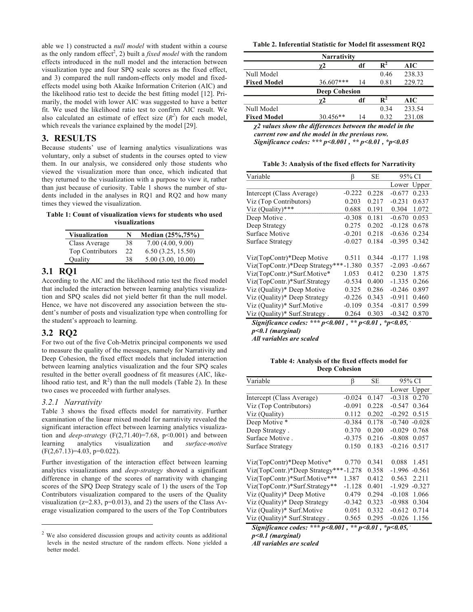able we 1) constructed a *null model* with student within a course as the only random effect<sup>2</sup>, 2) built a *fixed model* with the random effects introduced in the null model and the interaction between visualization type and four SPQ scale scores as the fixed effect, and 3) compared the null random-effects only model and fixedeffects model using both Akaike Information Criterion (AIC) and the likelihood ratio test to decide the best fitting model [12]. Primarily, the model with lower AIC was suggested to have a better fit. We used the likelihood ratio test to confirm AIC result. We also calculated an estimate of effect size  $(R^2)$  for each model, which reveals the variance explained by the model [29].

### **3. RESULTS**

Because students' use of learning analytics visualizations was voluntary, only a subset of students in the courses opted to view them. In our analysis, we considered only those students who viewed the visualization more than once, which indicated that they returned to the visualization with a purpose to view it, rather than just because of curiosity. Table 1 shows the number of students included in the analyses in RQ1 and RQ2 and how many times they viewed the visualization.

**Table 1: Count of visualization views for students who used visualizations**

| <b>Visualization</b> | N  | Median (25%,75%)  |
|----------------------|----|-------------------|
| Class Average        | 38 | 7.00(4.00, 9.00)  |
| Top Contributors     | 22 | 6.50(3.25, 15.50) |
| Quality              | 38 | 5.00(3.00, 10.00) |

## **3.1 RQ1**

According to the AIC and the likelihood ratio test the fixed model that included the interaction between learning analytics visualization and SPQ scales did not yield better fit than the null model. Hence, we have not discovered any association between the student's number of posts and visualization type when controlling for the student's approach to learning.

## **3.2 RQ2**

For two out of the five Coh-Metrix principal components we used to measure the quality of the messages, namely for Narrativity and Deep Cohesion, the fixed effect models that included interaction between learning analytics visualization and the four SPQ scales resulted in the better overall goodness of fit measures (AIC, likelihood ratio test, and  $R^2$ ) than the null models (Table 2). In these two cases we proceeded with further analyses.

#### *3.2.1 Narrativity*

 $\overline{a}$ 

Table 3 shows the fixed effects model for narrativity. Further examination of the linear mixed model for narrativity revealed the significant interaction effect between learning analytics visualization and *deep-strategy* ( $F(2,71.40)=7.68$ ,  $p<0.001$ ) and between learning analytics visualization and *surface-motive*  $(F(2,67.13)=4.03, p=0.022)$ .

Further investigation of the interaction effect between learning analytics visualizations and *deep-strategy* showed a significant difference in change of the scores of narrativity with changing scores of the SPQ Deep Strategy scale of 1) the users of the Top Contributors visualization compared to the users of the Quality visualization ( $z=2.83$ ,  $p=0.013$ ), and 2) the users of the Class Average visualization compared to the users of the Top Contributors

**Table 2. Inferential Statistic for Model fit assessment RQ2**

| <b>Narrativity</b>   |           |    |                |        |  |
|----------------------|-----------|----|----------------|--------|--|
|                      | γ2        | df |                | AIC    |  |
| Null Model           |           |    | 0.46           | 238.33 |  |
| <b>Fixed Model</b>   | 36.607*** | 14 | 0.81           | 229.72 |  |
| <b>Deep Cohesion</b> |           |    |                |        |  |
|                      | γ2        | df | $\mathbf{R}^2$ | AIC    |  |
| Null Model           |           |    | 0.34           | 233.54 |  |
| <b>Fixed Model</b>   | 30.456**  | 14 | 0.32           | 231.08 |  |

*χ2 values show the differences between the model in the current row and the model in the previous row. Significance codes: \*\*\* p<0.001 , \*\* p<0.01 , \*p<0.05*

**Table 3: Analysis of the fixed effects for Narrativity**

| Variable                        | ß        | SЕ    | 95% CI               |
|---------------------------------|----------|-------|----------------------|
|                                 |          |       | Upper<br>Lower       |
| Intercept (Class Average)       | $-0.222$ | 0.228 | $-0.677$<br>0.233    |
| Viz (Top Contributors)          | 0.203    | 0.217 | $-0.231$<br>0.637    |
| Viz $(Quality)$ ***             | 0.688    | 0.191 | 1.072<br>0.304       |
| Deep Motive.                    | $-0.308$ | 0.181 | 0.053<br>$-0.670$    |
| Deep Strategy                   | 0.275    | 0.202 | $-0.128$<br>0.678    |
| Surface Motive                  | $-0.201$ | 0.218 | $-0.636$<br>0.234    |
| Surface Strategy                | $-0.027$ | 0.184 | $-0.395$<br>0.342    |
| Viz(TopContr)*Deep Motive       | 0.511    | 0.344 | $-0.177$<br>1.198    |
| Viz(TopContr.)*Deep Strategy*** | $-1.380$ | 0.357 | $-2.093$<br>$-0.667$ |
| Viz(TopContr.)*Surf.Motive*     | 1.053    | 0.412 | 0.230<br>1.875       |
| Viz(TopContr.)*Surf.Strategy    | $-0.534$ | 0.400 | $-1.335$<br>0.266    |
| Viz (Quality)* Deep Motive      | 0.325    | 0.286 | $-0.246$<br>0.897    |
| Viz (Quality)* Deep Strategy    | $-0.226$ | 0.343 | $-0.911$<br>0.460    |
| Viz (Quality)* Surf.Motive      | $-0.109$ | 0.354 | $-0.817$<br>0.599    |
| Viz (Quality)* Surf.Strategy.   | 0.264    | 0.303 | $-0.342$<br>0.870    |

*Significance codes: \*\*\* p<0.001 , \*\* p<0.01 , \*p<0.05, .*

*p<0.1 (marginal)* 

*All variables are scaled*

**Table 4: Analysis of the fixed effects model for Deep Cohesion**

| Variable                              | ß        | <b>SE</b> | 95% CI               |
|---------------------------------------|----------|-----------|----------------------|
|                                       |          |           | Lower Upper          |
| Intercept (Class Average)             | $-0.024$ | 0.147     | $-0.318$<br>0.270    |
| Viz (Top Contributors)                | $-0.091$ | 0.228     | $-0.547$<br>0.364    |
| Viz (Quality)                         | 0.112    | 0.202     | $-0.292$<br>0.515    |
| Deep Motive *                         | $-0.384$ | 0.178     | $-0.740 - 0.028$     |
| Deep Strategy.                        | 0.370    | 0.200     | $-0.029$<br>0.768    |
| Surface Motive.                       | $-0.375$ | 0.216     | $-0.808$<br>0.057    |
| Surface Strategy                      | 0.150    | 0.183     | $-0.216$<br>0.517    |
| Viz(TopContr)*Deep Motive*            | 0.770    | 0.341     | 0.088<br>1.451       |
| Viz(TopContr.)*Deep Strategy***-1.278 |          | 0.358     | $-1.996$<br>$-0.561$ |
| Viz(TopContr.)*Surf.Motive***         | 1.387    | 0.412     | 2.211<br>0.563       |
| Viz(TopContr.)*Surf.Strategy**        | $-1.128$ | 0.401     | $-0.327$<br>-1.929   |
| Viz (Quality)* Deep Motive            | 0.479    | 0.294     | 1.066<br>$-0.108$    |
| Viz (Quality)* Deep Strategy          | $-0.342$ | 0.323     | 0.304<br>-0.988      |
| Viz (Quality)* Surf.Motive            | 0.051    | 0.332     | 0.714<br>$-0.612$    |
| Viz (Quality)* Surf.Strategy.         | 0.565    | 0.295     | $-0.026$<br>1.156    |

*Significance codes: \*\*\* p<0.001 , \*\* p<0.01 , \*p<0.05, .*

*p<0.1 (marginal) All variables are scaled*

We also considered discussion groups and activity counts as additional levels in the nested structure of the random effects. None yielded a better model.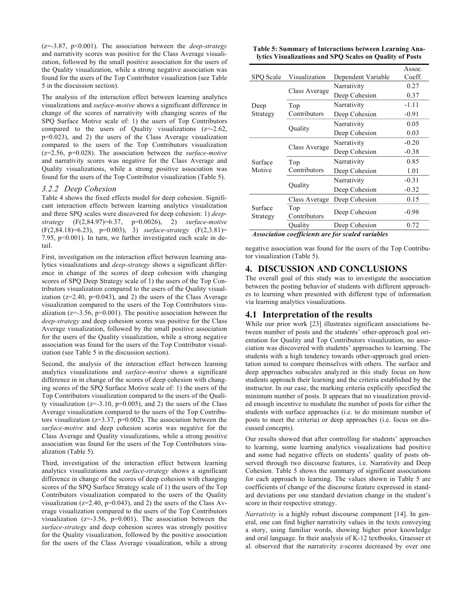(z=-3.87, p<0.001). The association between the *deep-strategy* and narrativity scores was positive for the Class Average visualization, followed by the small positive association for the users of the Quality visualization, while a strong negative association was found for the users of the Top Contributor visualization (see Table 5 in the discussion section).

The analysis of the interaction effect between learning analytics visualizations and *surface-motive* shows a significant difference in change of the scores of narrativity with changing scores of the SPQ Surface Motive scale of: 1) the users of Top Contributors compared to the users of Quality visualizations  $(z=2.62, z=0.01)$ p=0.023), and 2) the users of the Class Average visualization compared to the users of the Top Contributors visualization (z=2.56, p=0.028). The association between the *surface-motive*  and narrativity scores was negative for the Class Average and Quality visualizations, while a strong positive association was found for the users of the Top Contributor visualization (Table 5).

#### *3.2.2 Deep Cohesion*

Table 4 shows the fixed effects model for deep cohesion. Significant interaction effects between learning analytics visualization and three SPQ scales were discovered for deep cohesion: 1) *deepstrategy* (F(2,84.97)=6.37, p=0.0026), 2) *surface-motive* (F(2,84.18)=6.23), p=0.003), 3) *surface-strategy* (F(2,3.81)= 7.95, p<0.001). In turn, we further investigated each scale in detail.

First, investigation on the interaction effect between learning analytics visualizations and *deep-strategy* shows a significant difference in change of the scores of deep cohesion with changing scores of SPQ Deep Strategy scale of 1) the users of the Top Contributors visualization compared to the users of the Quality visualization  $(z=2.40, p=0.043)$ , and 2) the users of the Class Average visualization compared to the users of the Top Contributors visualization ( $z=-3.56$ ,  $p=0.001$ ). The positive association between the *deep-strategy* and deep cohesion scores was positive for the Class Average visualization, followed by the small positive association for the users of the Quality visualization, while a strong negative association was found for the users of the Top Contributor visualization (see Table 5 in the discussion section).

Second, the analysis of the interaction effect between learning analytics visualizations and *surface-motive* shows a significant difference in in change of the scores of deep cohesion with changing scores of the SPQ Surface Motive scale of: 1) the users of the Top Contributors visualization compared to the users of the Quality visualization  $(z=3.10, p=0.005)$ , and 2) the users of the Class Average visualization compared to the users of the Top Contributors visualization ( $z=3.37$ ,  $p=0.002$ ). The association between the *surface-motive* and deep cohesion scores was negative for the Class Average and Quality visualizations, while a strong positive association was found for the users of the Top Contributors visualization (Table 5).

Third, investigation of the interaction effect between learning analytics visualizations and *surface-strategy* shows a significant difference in change of the scores of deep cohesion with changing scores of the SPQ Surface Strategy scale of 1) the users of the Top Contributors visualization compared to the users of the Quality visualization ( $z=2.40$ ,  $p=0.043$ ), and 2) the users of the Class Average visualization compared to the users of the Top Contributors visualization  $(z=3.56, p=0.001)$ . The association between the *surface-strategy* and deep cohesion scores was strongly positive for the Quality visualization, followed by the positive association for the users of the Class Average visualization, while a strong

| Table 5: Summary of Interactions between Learning Ana-   |  |
|----------------------------------------------------------|--|
| lytics Visualizations and SPQ Scales on Quality of Posts |  |

|                                                   |               |                    | Assoc.  |  |
|---------------------------------------------------|---------------|--------------------|---------|--|
| SPO Scale                                         | Visualization | Dependent Variable | Coeff.  |  |
|                                                   | Class Average | Narrativity        | 0.27    |  |
| Deep<br>Strategy                                  |               | Deep Cohesion      | 0.37    |  |
|                                                   | Top           | Narrativity        | $-1.11$ |  |
|                                                   | Contributors  | Deep Cohesion      | $-0.91$ |  |
|                                                   |               | Narrativity        | 0.05    |  |
|                                                   | Quality       | Deep Cohesion      | 0.03    |  |
| Surface<br>Motive                                 |               | Narrativity        | $-0.20$ |  |
|                                                   | Class Average | Deep Cohesion      | $-0.38$ |  |
|                                                   | Top           | Narrativity        | 0.85    |  |
|                                                   | Contributors  | Deep Cohesion      | 1.01    |  |
|                                                   |               | Narrativity        | $-0.31$ |  |
|                                                   | Quality       | Deep Cohesion      | $-0.32$ |  |
|                                                   | Class Average | Deep Cohesion      | 0.15    |  |
| Surface<br>Strategy                               | Top           | Deep Cohesion      | $-0.98$ |  |
|                                                   | Contributors  |                    |         |  |
|                                                   | Quality       | Deep Cohesion      | 0.72    |  |
| Association coefficients are for scaled variables |               |                    |         |  |

*Association coefficients are for scaled variables*

negative association was found for the users of the Top Contributor visualization (Table 5).

## **4. DISCUSSION AND CONCLUSIONS**

The overall goal of this study was to investigate the association between the posting behavior of students with different approaches to learning when presented with different type of information via learning analytics visualizations.

## **4.1 Interpretation of the results**

While our prior work [23] illustrates significant associations between number of posts and the students' other-approach goal orientation for Quality and Top Contributors visualization, no association was discovered with students' approaches to learning. The students with a high tendency towards other-approach goal orientation aimed to compare themselves with others. The surface and deep approaches subscales analyzed in this study focus on how students approach their learning and the criteria established by the instructor. In our case, the marking criteria explicitly specified the minimum number of posts. It appears that no visualization provided enough incentive to modulate the number of posts for either the students with surface approaches (i.e. to do minimum number of posts to meet the criteria) or deep approaches (i.e. focus on discussed concepts).

Our results showed that after controlling for students' approaches to learning, some learning analytics visualizations had positive and some had negative effects on students' quality of posts observed through two discourse features, i.e. Narrativity and Deep Cohesion. Table 5 shows the summary of significant associations for each approach to learning. The values shown in Table 5 are coefficients of change of the discourse feature expressed in standard deviations per one standard deviation change in the student's score in their respective strategy.

*Narrativity* is a highly robust discourse component [14]. In general, one can find higher narrativity values in the texts conveying a story, using familiar words, showing higher prior knowledge and oral language. In their analysis of K-12 textbooks, Graesser et al. observed that the narrativity z-scores decreased by over one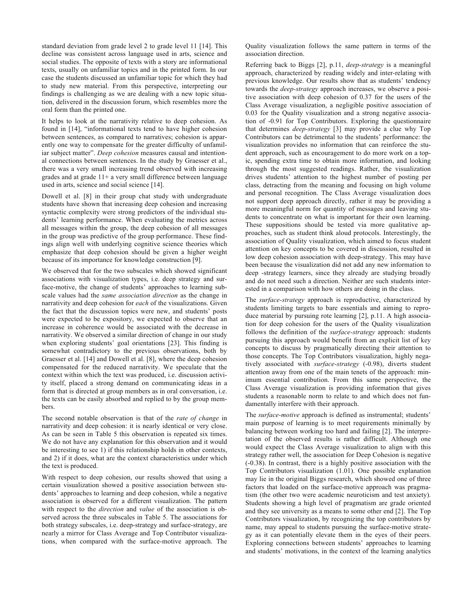standard deviation from grade level 2 to grade level 11 [14]. This decline was consistent across language used in arts, science and social studies. The opposite of texts with a story are informational texts, usually on unfamiliar topics and in the printed form. In our case the students discussed an unfamiliar topic for which they had to study new material. From this perspective, interpreting our findings is challenging as we are dealing with a new topic situation, delivered in the discussion forum, which resembles more the oral form than the printed one.

It helps to look at the narrativity relative to deep cohesion. As found in [14], "informational texts tend to have higher cohesion between sentences, as compared to narratives; cohesion is apparently one way to compensate for the greater difficulty of unfamiliar subject matter". *Deep cohesion* measures causal and intentional connections between sentences. In the study by Graesser et al., there was a very small increasing trend observed with increasing grades and at grade  $11+$  a very small difference between language used in arts, science and social science [14].

Dowell et al. [8] in their group chat study with undergraduate students have shown that increasing deep cohesion and increasing syntactic complexity were strong predictors of the individual students' learning performance. When evaluating the metrics across all messages within the group, the deep cohesion of all messages in the group was predictive of the group performance. These findings align well with underlying cognitive science theories which emphasize that deep cohesion should be given a higher weight because of its importance for knowledge construction [9].

We observed that for the two subscales which showed significant associations with visualization types, i.e. deep strategy and surface-motive, the change of students' approaches to learning subscale values had the *same association direction* as the change in narrativity and deep cohesion for *each* of the visualizations. Given the fact that the discussion topics were new, and students' posts were expected to be expository, we expected to observe that an increase in coherence would be associated with the decrease in narrativity. We observed a similar direction of change in our study when exploring students' goal orientations [23]. This finding is somewhat contradictory to the previous observations, both by Graesser et al. [14] and Dowell et al. [8], where the deep cohesion compensated for the reduced narrativity. We speculate that the context within which the text was produced, i.e. discussion activity itself, placed a strong demand on communicating ideas in a form that is directed at group members as in oral conversation, i.e. the texts can be easily absorbed and replied to by the group members.

The second notable observation is that of the *rate of change* in narrativity and deep cohesion: it is nearly identical or very close. As can be seen in Table 5 this observation is repeated six times. We do not have any explanation for this observation and it would be interesting to see 1) if this relationship holds in other contexts, and 2) if it does, what are the context characteristics under which the text is produced.

With respect to deep cohesion, our results showed that using a certain visualization showed a positive association between students' approaches to learning and deep cohesion, while a negative association is observed for a different visualization. The pattern with respect to the *direction* and *value* of the association is observed across the three subscales in Table 5. The associations for both strategy subscales, i.e. deep-strategy and surface-strategy, are nearly a mirror for Class Average and Top Contributor visualizations, when compared with the surface-motive approach. The

Quality visualization follows the same pattern in terms of the association direction.

Referring back to Biggs [2], p.11, *deep-strategy* is a meaningful approach, characterized by reading widely and inter-relating with previous knowledge. Our results show that as students' tendency towards the *deep-strategy* approach increases, we observe a positive association with deep cohesion of 0.37 for the users of the Class Average visualization, a negligible positive association of 0.03 for the Quality visualization and a strong negative association of -0.91 for Top Contributors. Exploring the questionnaire that determines *deep-strategy* [3] may provide a clue why Top Contributors can be detrimental to the students' performance: the visualization provides no information that can reinforce the student approach, such as encouragement to do more work on a topic, spending extra time to obtain more information, and looking through the most suggested readings. Rather, the visualization drives students' attention to the highest number of posting per class, detracting from the meaning and focusing on high volume and personal recognition. The Class Average visualization does not support deep approach directly, rather it may be providing a more meaningful norm for quantity of messages and leaving students to concentrate on what is important for their own learning. These suppositions should be tested via more qualitative approaches, such as student think aloud protocols. Interestingly, the association of Quality visualization, which aimed to focus student attention on key concepts to be covered in discussion, resulted in low deep cohesion association with deep-strategy. This may have been because the visualization did not add any new information to deep -strategy learners, since they already are studying broadly and do not need such a direction. Neither are such students interested in a comparison with how others are doing in the class.

The *surface-strategy* approach is reproductive, characterized by students limiting targets to bare essentials and aiming to reproduce material by pursuing rote learning [2], p.11. A high association for deep cohesion for the users of the Quality visualization follows the definition of the *surface-strategy* approach: students pursuing this approach would benefit from an explicit list of key concepts to discuss by pragmatically directing their attention to those concepts. The Top Contributors visualization, highly negatively associated with *surface-strategy* (-0.98), diverts student attention away from one of the main tenets of the approach: minimum essential contribution. From this same perspective, the Class Average visualization is providing information that gives students a reasonable norm to relate to and which does not fundamentally interfere with their approach.

The *surface-motive* approach is defined as instrumental; students' main purpose of learning is to meet requirements minimally by balancing between working too hard and failing [2]. The interpretation of the observed results is rather difficult. Although one would expect the Class Average visualization to align with this strategy rather well, the association for Deep Cohesion is negative (-0.38). In contrast, there is a highly positive association with the Top Contributors visualization (1.01). One possible explanation may lie in the original Biggs research, which showed one of three factors that loaded on the surface-motive approach was pragmatism (the other two were academic neuroticism and test anxiety). Students showing a high level of pragmatism are grade oriented and they see university as a means to some other end [2]. The Top Contributors visualization, by recognizing the top contributors by name, may appeal to students pursuing the surface-motive strategy as it can potentially elevate them in the eyes of their peers. Exploring connections between students' approaches to learning and students' motivations, in the context of the learning analytics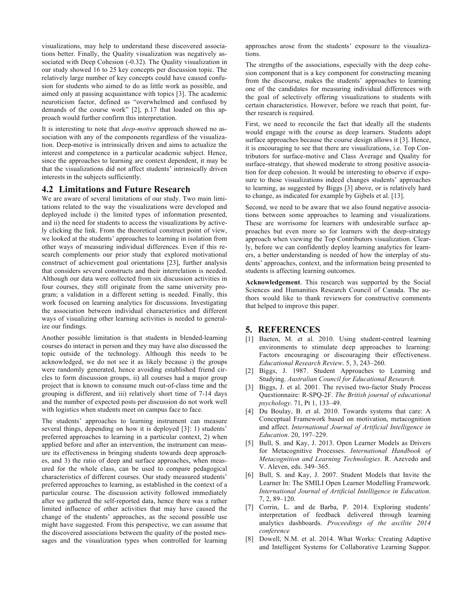visualizations, may help to understand these discovered associations better. Finally, the Quality visualization was negatively associated with Deep Cohesion (-0.32). The Quality visualization in our study showed 16 to 25 key concepts per discussion topic. The relatively large number of key concepts could have caused confusion for students who aimed to do as little work as possible, and aimed only at passing acquaintance with topics [3]. The academic neuroticism factor, defined as "overwhelmed and confused by demands of the course work" [2], p.17 that loaded on this approach would further confirm this interpretation.

It is interesting to note that *deep-motive* approach showed no association with any of the components regardless of the visualization. Deep-motive is intrinsically driven and aims to actualize the interest and competence in a particular academic subject. Hence, since the approaches to learning are context dependent, it may be that the visualizations did not affect students' intrinsically driven interests in the subjects sufficiently.

#### **4.2 Limitations and Future Research**

We are aware of several limitations of our study. Two main limitations related to the way the visualizations were developed and deployed include i) the limited types of information presented, and ii) the need for students to access the visualizations by actively clicking the link. From the theoretical construct point of view, we looked at the students' approaches to learning in isolation from other ways of measuring individual differences. Even if this research complements our prior study that explored motivational construct of achievement goal orientations [23], further analysis that considers several constructs and their interrelation is needed. Although our data were collected from six discussion activities in four courses, they still originate from the same university program; a validation in a different setting is needed. Finally, this work focused on learning analytics for discussions. Investigating the association between individual characteristics and different ways of visualizing other learning activities is needed to generalize our findings.

Another possible limitation is that students in blended-learning courses do interact in person and they may have also discussed the topic outside of the technology. Although this needs to be acknowledged, we do not see it as likely because i) the groups were randomly generated, hence avoiding established friend circles to form discussion groups, ii) all courses had a major group project that is known to consume much out-of-class time and the grouping is different, and iii) relatively short time of 7-14 days and the number of expected posts per discussion do not work well with logistics when students meet on campus face to face.

The students' approaches to learning instrument can measure several things, depending on how it is deployed [3]: 1) students' preferred approaches to learning in a particular context, 2) when applied before and after an intervention, the instrument can measure its effectiveness in bringing students towards deep approaches, and 3) the ratio of deep and surface approaches, when measured for the whole class, can be used to compare pedagogical characteristics of different courses. Our study measured students' preferred approaches to learning, as established in the context of a particular course. The discussion activity followed immediately after we gathered the self-reported data, hence there was a rather limited influence of other activities that may have caused the change of the students' approaches, as the second possible use might have suggested. From this perspective, we can assume that the discovered associations between the quality of the posted messages and the visualization types when controlled for learning approaches arose from the students' exposure to the visualizations.

The strengths of the associations, especially with the deep cohesion component that is a key component for constructing meaning from the discourse, makes the students' approaches to learning one of the candidates for measuring individual differences with the goal of selectively offering visualizations to students with certain characteristics. However, before we reach that point, further research is required.

First, we need to reconcile the fact that ideally all the students would engage with the course as deep learners. Students adopt surface approaches because the course design allows it [3]. Hence, it is encouraging to see that there are visualizations, i.e. Top Contributors for surface-motive and Class Average and Quality for surface-strategy, that showed moderate to strong positive association for deep cohesion. It would be interesting to observe if exposure to these visualizations indeed changes students' approaches to learning, as suggested by Biggs [3] above, or is relatively hard to change, as indicated for example by Gijbels et al. [13].

Second, we need to be aware that we also found negative associations between some approaches to learning and visualizations. These are worrisome for learners with undesirable surface approaches but even more so for learners with the deep-strategy approach when viewing the Top Contributors visualization. Clearly, before we can confidently deploy learning analytics for learners, a better understanding is needed of how the interplay of students' approaches, context, and the information being presented to students is affecting learning outcomes.

**Acknowledgement**. This research was supported by the Social Sciences and Humanities Research Council of Canada. The authors would like to thank reviewers for constructive comments that helped to improve this paper.

## **5. REFERENCES**

- [1] Baeten, M. et al. 2010. Using student-centred learning environments to stimulate deep approaches to learning: Factors encouraging or discouraging their effectiveness. *Educational Research Review*. 5, 3, 243–260.
- [2] Biggs, J. 1987. Student Approaches to Learning and Studying. *Australian Council for Educational Research.*
- [3] Biggs, J. et al. 2001. The revised two-factor Study Process Questionnaire: R-SPQ-2F. *The British journal of educational psychology*. 71, Pt 1, 133–49.
- [4] Du Boulay, B. et al. 2010. Towards systems that care: A Conceptual Framework based on motivation, metacognition and affect. *International Journal of Artificial Intelligence in Education*. 20, 197–229.
- [5] Bull, S. and Kay, J. 2013. Open Learner Models as Drivers for Metacognitive Processes. *International Handbook of Metacognition and Learning Technologies*. R. Azevedo and V. Aleven, eds. 349–365.
- [6] Bull, S. and Kay, J. 2007. Student Models that Invite the Learner In: The SMILI Open Learner Modelling Framework. *International Journal of Artificial Intelligence in Education*. 7, 2, 89–120.
- [7] Corrin, L. and de Barba, P. 2014. Exploring students' interpretation of feedback delivered through learning analytics dashboards. *Proceedings of the ascilite 2014 conference*
- [8] Dowell, N.M. et al. 2014. What Works: Creating Adaptive and Intelligent Systems for Collaborative Learning Suppor.